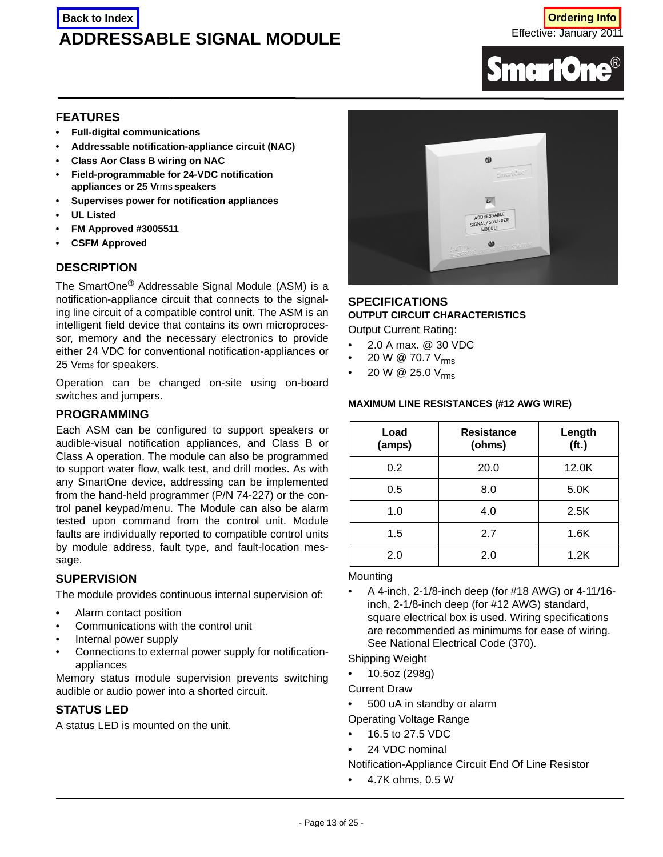# **ADDRESSABLE SIGNAL MODULE Back to Index to Index** and the control of the control of the control of the control of the control of the control of the control of the control of the control of the control of the control of the control of the control o

Effective: January 2011



#### **FEATURES**

- **Full-digital communications**
- **Addressable notification-appliance circuit (NAC)**
- **Class Aor Class B wiring on NAC**
- **Field-programmable for 24-VDC notification appliances or 25 V**rms **speakers**
- **Supervises power for notification appliances**
- **UL Listed**
- **FM Approved #3005511**
- **CSFM Approved**

## **DESCRIPTION**

The SmartOne® Addressable Signal Module (ASM) is a notification-appliance circuit that connects to the signaling line circuit of a compatible control unit. The ASM is an intelligent field device that contains its own microprocessor, memory and the necessary electronics to provide either 24 VDC for conventional notification-appliances or 25 Vrms for speakers.

Operation can be changed on-site using on-board switches and jumpers.

#### **PROGRAMMING**

Each ASM can be configured to support speakers or audible-visual notification appliances, and Class B or Class A operation. The module can also be programmed to support water flow, walk test, and drill modes. As with any SmartOne device, addressing can be implemented from the hand-held programmer (P/N 74-227) or the control panel keypad/menu. The Module can also be alarm tested upon command from the control unit. Module faults are individually reported to compatible control units by module address, fault type, and fault-location message.

#### **SUPERVISION**

The module provides continuous internal supervision of:

- Alarm contact position
- Communications with the control unit
- Internal power supply
- Connections to external power supply for notificationappliances

Memory status module supervision prevents switching audible or audio power into a shorted circuit.

## **STATUS LED**

A status LED is mounted on the unit.



## **SPECIFICATIONS OUTPUT CIRCUIT CHARACTERISTICS**

Output Current Rating:

- 2.0 A max. @ 30 VDC
- 20 W  $\circledcirc$  70.7  $V_{\text{rms}}$
- 20 W @ 25.0 V<sub>rms</sub>

#### **MAXIMUM LINE RESISTANCES (#12 AWG WIRE)**

| Load<br>(amps) | <b>Resistance</b><br>(ohms) | Length<br>(f <sub>t</sub> ) |
|----------------|-----------------------------|-----------------------------|
| 0.2            | 20.0                        | 12.0K                       |
| 0.5            | 8.0                         | 5.0K                        |
| 1.0            | 4.0                         | 2.5K                        |
| 1.5            | 2.7                         | 1.6K                        |
| 2.0            | 2.0                         | 1.2K                        |

#### **Mounting**

• A 4-inch, 2-1/8-inch deep (for #18 AWG) or 4-11/16 inch, 2-1/8-inch deep (for #12 AWG) standard, square electrical box is used. Wiring specifications are recommended as minimums for ease of wiring. See National Electrical Code (370).

Shipping Weight

• 10.5oz (298g)

Current Draw

• 500 uA in standby or alarm

Operating Voltage Range

- 16.5 to 27.5 VDC
- 24 VDC nominal
- Notification-Appliance Circuit End Of Line Resistor
- 4.7K ohms, 0.5 W